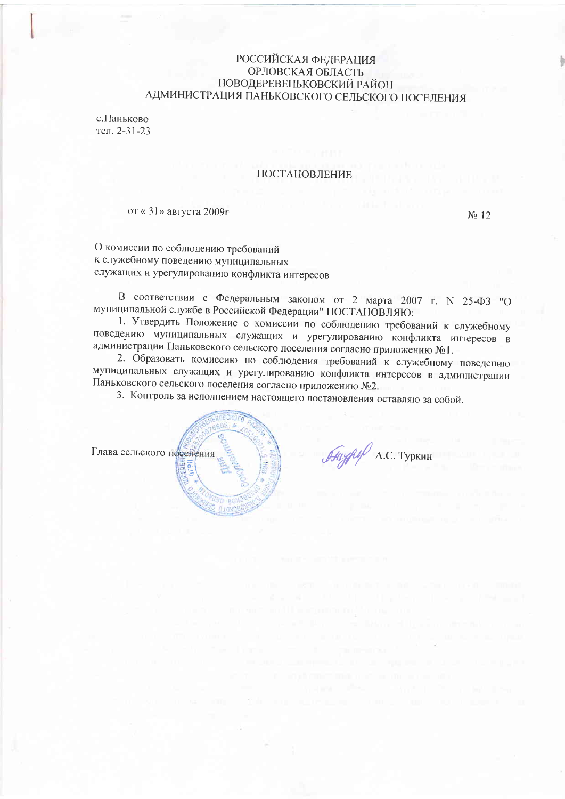# **РОССИЙСКАЯ ФЕЛЕРАЦИЯ** ОРЛОВСКАЯ ОБЛАСТЬ НОВОДЕРЕВЕНЬКОВСКИЙ РАЙОН АДМИНИСТРАЦИЯ ПАНЬКОВСКОГО СЕЛЬСКОГО ПОСЕЛЕНИЯ

с. Паньково тел. 2-31-23

## ПОСТАНОВЛЕНИЕ

от «31» августа 2009г

No 12

О комиссии по соблюдению требований к служебному поведению муниципальных служащих и урегулированию конфликта интересов

В соответствии с Федеральным законом от 2 марта 2007 г. N 25-ФЗ "О муниципальной службе в Российской Федерации" ПОСТАНОВЛЯЮ:

1. Утвердить Положение о комиссии по соблюдению требований к служебному поведению муниципальных служащих и урегулированию конфликта интересов в администрации Паньковского сельского поселения согласно приложению №1.

2. Образовать комиссию по соблюдения требований к служебному поведению муниципальных служащих и урегулированию конфликта интересов в администрации Паньковского сельского поселения согласно приложению №2.

3. Контроль за исполнением настоящего постановления оставляю за собой.



Anyply A.C. Туркин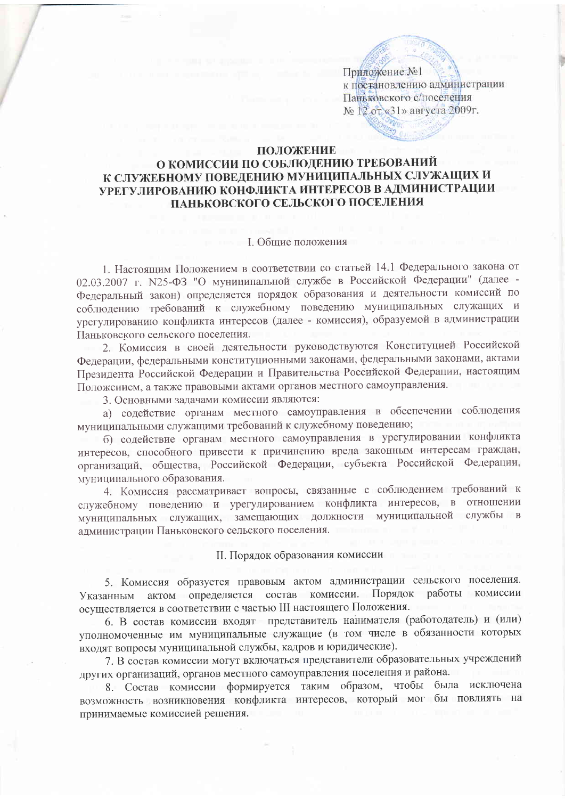Приложение №1 к постановлению администрации Паньковского с/поселения № 12 от «31» августа 2009г.

## ПОЛОЖЕНИЕ

# О КОМИССИИ ПО СОБЛЮДЕНИЮ ТРЕБОВАНИЙ К СЛУЖЕБНОМУ ПОВЕДЕНИЮ МУНИЦИПАЛЬНЫХ СЛУЖАЩИХ И УРЕГУЛИРОВАНИЮ КОНФЛИКТА ИНТЕРЕСОВ В АДМИНИСТРАЦИИ ПАНЬКОВСКОГО СЕЛЬСКОГО ПОСЕЛЕНИЯ

### **I.** Общие положения

1. Настоящим Положением в соответствии со статьей 14.1 Федерального закона от 02.03.2007 г. №25-ФЗ "О муниципальной службе в Российской Федерации" (далее -Федеральный закон) определяется порядок образования и деятельности комиссий по соблюдению требований к служебному поведению муниципальных служащих и урегулированию конфликта интересов (далее - комиссия), образуемой в администрации Паньковского сельского поселения.

2. Комиссия в своей деятельности руководствуются Конституцией Российской Федерации, федеральными конституционными законами, федеральными законами, актами Президента Российской Федерации и Правительства Российской Федерации, настоящим Положением, а также правовыми актами органов местного самоуправления.

3. Основными задачами комиссии являются:

а) содействие органам местного самоуправления в обеспечении соблюдения муниципальными служащими требований к служебному поведению;

б) содействие органам местного самоуправления в урегулировании конфликта интересов, способного привести к причинению вреда законным интересам граждан, организаций, общества, Российской Федерации, субъекта Российской Федерации, муниципального образования.

4. Комиссия рассматривает вопросы, связанные с соблюдением требований к служебному поведению и урегулированием конфликта интересов, в отношении муниципальных служащих, замещающих должности муниципальной службы в администрации Паньковского сельского поселения.

## II. Порядок образования комиссии

5. Комиссия образуется правовым актом администрации сельского поселения. Указанным актом определяется состав комиссии. Порядок работы комиссии осуществляется в соответствии с частью III настоящего Положения.

6. В состав комиссии входят представитель нанимателя (работодатель) и (или) уполномоченные им муниципальные служащие (в том числе в обязанности которых входят вопросы муниципальной службы, кадров и юридические).

7. В состав комиссии могут включаться представители образовательных учреждений других организаций, органов местного самоуправления поселения и района.

8. Состав комиссии формируется таким образом, чтобы была исключена возможность возникновения конфликта интересов, который мог бы повлиять на принимаемые комиссией решения.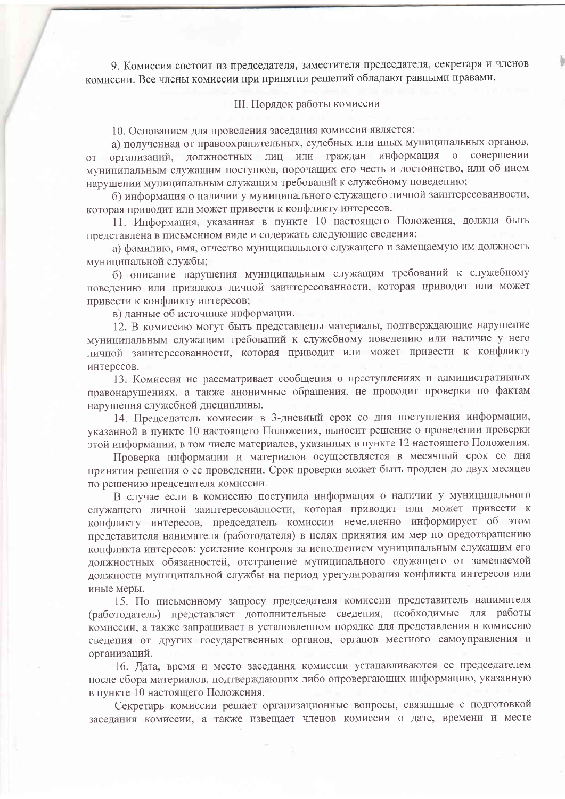9. Комиссия состоит из председателя, заместителя председателя, секретаря и членов комиссии. Все члены комиссии при принятии решений обладают равными правами.

#### III. Порядок работы комиссии

10. Основанием для проведения заседания комиссии является:

а) полученная от правоохранительных, судебных или иных муниципальных органов, организаций, должностных лиц или граждан информация совершении  $\overline{O}$  $\overline{O}T$ муниципальным служащим поступков, порочащих его честь и достоинство, или об ином нарушении муниципальным служащим требований к служебному поведению;

б) информация о наличии у муниципального служащего личной заинтересованности, которая приводит или может привести к конфликту интересов.

11. Информация, указанная в пункте 10 настоящего Положения, должна быть представлена в письменном виде и содержать следующие сведения:

а) фамилию, имя, отчество муниципального служащего и замещаемую им должность муниципальной службы;

б) описание нарушения муниципальным служащим требований к служебному поведению или признаков личной заинтересованности, которая приводит или может привести к конфликту интересов;

в) данные об источнике информации.

12. В комиссию могут быть представлены материалы, подтверждающие нарушение муниципальным служащим требований к служебному поведению или наличие у него личной заинтересованности, которая приводит или может привести к конфликту интересов.

13. Комиссия не рассматривает сообщения о преступлениях и административных правонарушениях, а также анонимные обращения, не проводит проверки по фактам нарушения служебной дисциплины.

14. Председатель комиссии в 3-дневный срок со дня поступления информации, указанной в пункте 10 настоящего Положения, выносит решение о проведении проверки этой информации, в том числе материалов, указанных в пункте 12 настоящего Положения.

Проверка информации и материалов осуществляется в месячный срок со дня принятия решения о ее проведении. Срок проверки может быть продлен до двух месяцев по решению председателя комиссии.

В случае если в комиссию поступила информация о наличии у муниципального служащего личной заинтересованности, которая приводит или может привести к конфликту интересов, председатель комиссии немедленно информирует об этом представителя нанимателя (работодателя) в целях принятия им мер по предотвращению конфликта интересов: усиление контроля за исполнением муниципальным служащим его должностных обязанностей, отстранение муниципального служащего от замещаемой должности муниципальной службы на период урегулирования конфликта интересов или иные меры.

15. По письменному запросу председателя комиссии представитель нанимателя (работодатель) представляет дополнительные сведения, необходимые для работы комиссии, а также запрашивает в установленном порядке для представления в комиссию сведения от других государственных органов, органов местного самоуправления и организаций.

16. Дата, время и место заседания комиссии устанавливаются ее председателем после сбора материалов, подтверждающих либо опровергающих информацию, указанную в пункте 10 настоящего Положения.

Секретарь комиссии решает организационные вопросы, связанные с подготовкой заседания комиссии, а также извещает членов комиссии о дате, времени и месте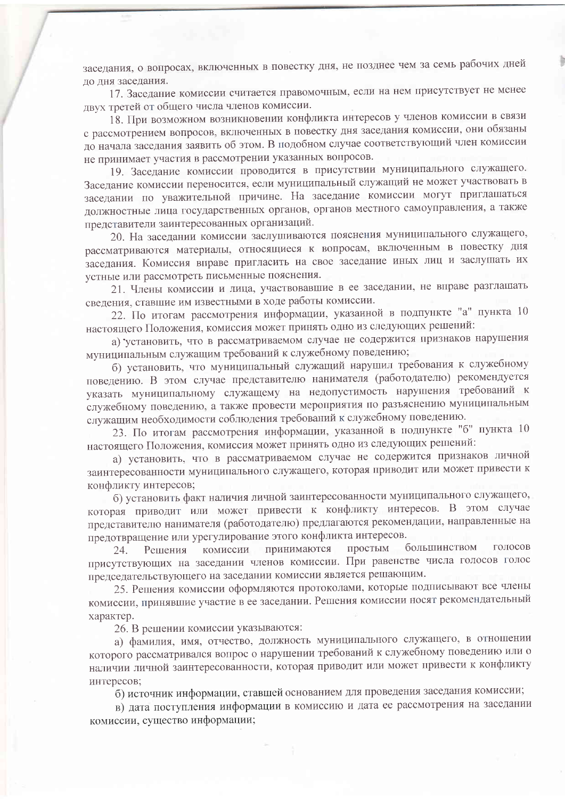заседания, о вопросах, включенных в повестку дня, не позднее чем за семь рабочих дней ло лня заседания.

17. Заседание комиссии считается правомочным, если на нем присутствует не менее двух третей от общего числа членов комиссии.

18. При возможном возникновении конфликта интересов у членов комиссии в связи с рассмотрением вопросов, включенных в повестку дня заседания комиссии, они обязаны до начала заседания заявить об этом. В подобном случае соответствующий член комиссии не принимает участия в рассмотрении указанных вопросов.

19. Заседание комиссии проводится в присутствии муниципального служащего. Заседание комиссии переносится, если муниципальный служащий не может участвовать в заседании по уважительной причине. На заседание комиссии могут приглашаться должностные лица государственных органов, органов местного самоуправления, а также представители заинтересованных организаций.

20. На заседании комиссии заслушиваются пояснения муниципального служащего, рассматриваются материалы, относящиеся к вопросам, включенным в повестку дня заседания. Комиссия вправе пригласить на свое заседание иных лиц и заслушать их устные или рассмотреть письменные пояснения.

21. Члены комиссии и лица, участвовавшие в ее заседании, не вправе разглашать сведения, ставшие им известными в ходе работы комиссии.

22. По итогам рассмотрения информации, указанной в подпункте "а" пункта 10 настоящего Положения, комиссия может принять одно из следующих решений:

а) установить, что в рассматриваемом случае не содержится признаков нарушения муниципальным служащим требований к служебному поведению;

б) установить, что муниципальный служащий нарушил требования к служебному поведению. В этом случае представителю нанимателя (работодателю) рекомендуется указать муниципальному служащему на недопустимость нарушения требований к служебному поведению, а также провести мероприятия по разъяснению муниципальным служащим необходимости соблюдения требований к служебному поведению.

23. По итогам рассмотрения информации, указанной в подпункте "б" пункта 10 настоящего Положения, комиссия может принять одно из следующих решений:

а) установить, что в рассматриваемом случае не содержится признаков личной заинтересованности муниципального служащего, которая приводит или может привести к конфликту интересов;

б) установить факт наличия личной заинтересованности муниципального служащего, которая приводит или может привести к конфликту интересов. В этом случае представителю нанимателя (работодателю) предлагаются рекомендации, направленные на предотвращение или урегулирование этого конфликта интересов.

простым большинством голосов принимаются комиссии Решения 24. присутствующих на заседании членов комиссии. При равенстве числа голосов голос председательствующего на заседании комиссии является решающим.

25. Решения комиссии оформляются протоколами, которые подписывают все члены комиссии, принявшие участие в ее заседании. Решения комиссии носят рекомендательный характер.

26. В решении комиссии указываются:

а) фамилия, имя, отчество, должность муниципального служащего, в отношении которого рассматривался вопрос о нарушении требований к служебному поведению или о наличии личной заинтересованности, которая приводит или может привести к конфликту интересов;

б) источник информации, ставшей основанием для проведения заседания комиссии;

в) дата поступления информации в комиссию и дата ее рассмотрения на заседании комиссии, существо информации;